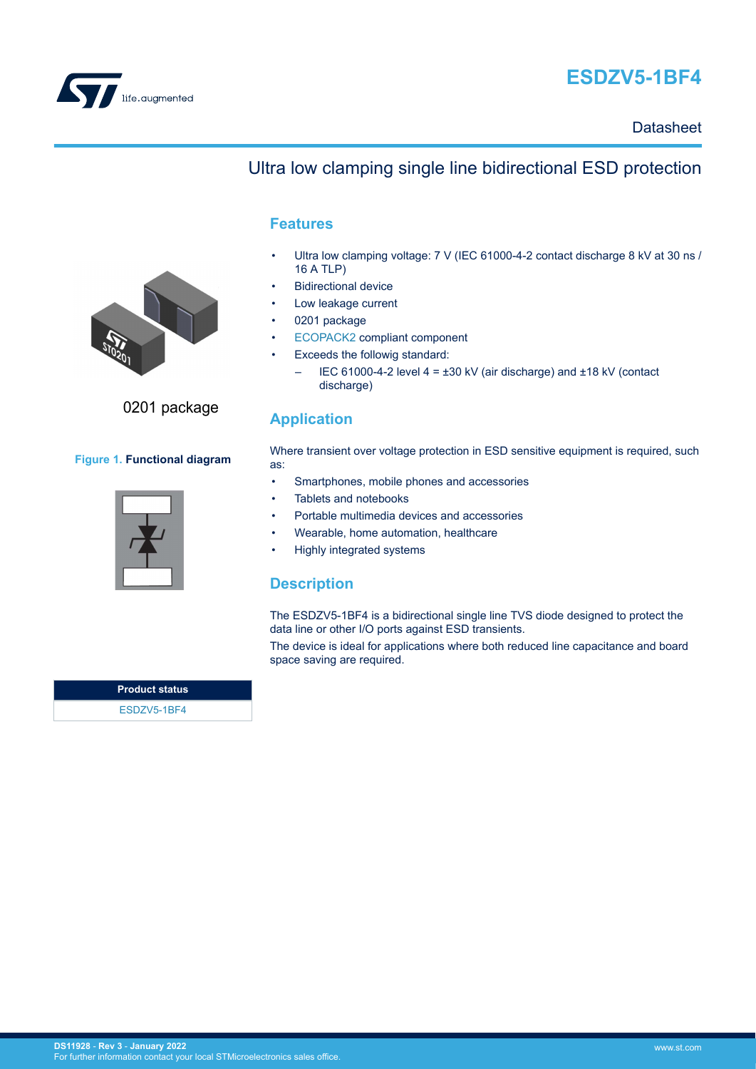

## **ESDZV5-1BF4**

**Datasheet** 



#### **Features**

- Ultra low clamping voltage: 7 V (IEC 61000-4-2 contact discharge 8 kV at 30 ns / 16 A TLP)
- **Bidirectional device**
- Low leakage current
- 0201 package
- [ECOPACK2](https://www.st.com/ecopack) compliant component
- Exceeds the followig standard:
	- IEC 61000-4-2 level  $4 = \pm 30$  kV (air discharge) and  $\pm 18$  kV (contact discharge)

### **Application**

Where transient over voltage protection in ESD sensitive equipment is required, such as:

- Smartphones, mobile phones and accessories
- Tablets and notebooks
- Portable multimedia devices and accessories
- Wearable, home automation, healthcare
- Highly integrated systems

### **Description**

The ESDZV5-1BF4 is a bidirectional single line TVS diode designed to protect the data line or other I/O ports against ESD transients.

The device is ideal for applications where both reduced line capacitance and board space saving are required.





## 0201 package

#### **Figure 1. Functional diagram**

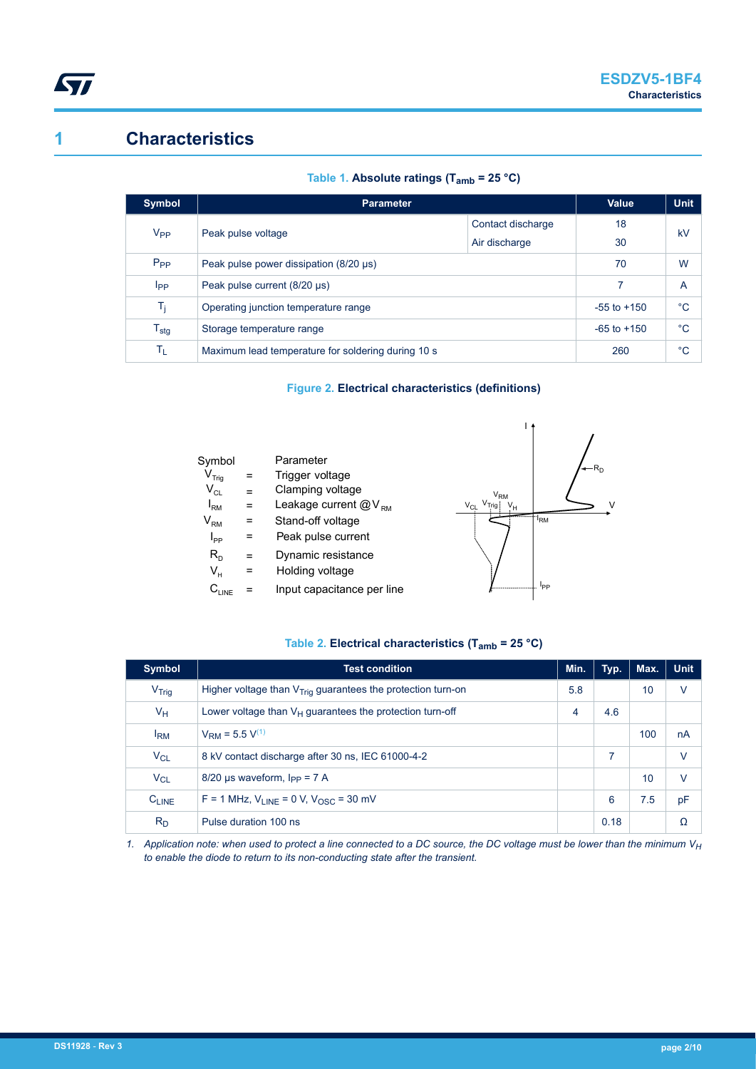

## **1 Characteristics**

|  | Table 1. Absolute ratings (T <sub>amb</sub> = 25 °C) |  |
|--|------------------------------------------------------|--|
|  |                                                      |  |

| <b>Symbol</b>               | <b>Parameter</b>                                   | <b>Value</b>      | <b>Unit</b>     |             |  |
|-----------------------------|----------------------------------------------------|-------------------|-----------------|-------------|--|
| $V_{PP}$                    | Peak pulse voltage                                 | Contact discharge | 18              | kV          |  |
|                             |                                                    | Air discharge     | 30              |             |  |
| $P_{PP}$                    | Peak pulse power dissipation (8/20 µs)             | 70                | W               |             |  |
| <b>I</b> pp                 | Peak pulse current (8/20 µs)                       |                   | 7               | A           |  |
| T <sub>j</sub>              | Operating junction temperature range               |                   | $-55$ to $+150$ | $^{\circ}C$ |  |
| $\mathsf{T}_{\textsf{stg}}$ | Storage temperature range                          | $-65$ to $+150$   | $^{\circ}C$     |             |  |
| TL                          | Maximum lead temperature for soldering during 10 s | 260               | $^{\circ}C$     |             |  |

#### **Figure 2. Electrical characteristics (definitions)**

| Symbol                       |     | Parameter                  |
|------------------------------|-----|----------------------------|
| $\mathsf{V}_{\mathsf{Triq}}$ | =   | Trigger voltage            |
| $\mathsf{V}_{\mathsf{CL}}$   | $=$ | Clamping voltage           |
| $I_{\rm RM}$                 | =   | Leakage current $@V_{RMS}$ |
| $\mathsf{V}_{\mathsf{RM}}$   | =   | Stand-off voltage          |
| $I_{\mathsf{pp}}$            | =   | Peak pulse current         |
| $R_{D}$                      | =   | Dynamic resistance         |
| V.                           | =   | Holding voltage            |
|                              |     | Input capacitance per line |



#### **Table 2. Electrical characteristics (Tamb = 25 °C)**

| Symbol                | <b>Test condition</b>                                         | Min. | Typ. | Max. | <b>Unit</b> |
|-----------------------|---------------------------------------------------------------|------|------|------|-------------|
| V <sub>Triq</sub>     | Higher voltage than $VTriq$ guarantees the protection turn-on | 5.8  |      | 10   | v           |
| $V_H$                 | Lower voltage than $V_H$ guarantees the protection turn-off   | 4    | 4.6  |      |             |
| I <sub>RM</sub>       | $V_{\text{RM}}$ = 5.5 $V^{(1)}$                               |      |      | 100  | nA          |
| <b>V<sub>CL</sub></b> | 8 kV contact discharge after 30 ns, IEC 61000-4-2             |      | 7    |      | v           |
| $V_{CL}$              | $8/20$ µs waveform, $I_{PP} = 7$ A                            |      |      | 10   | $\vee$      |
| $C_{LINE}$            | $F = 1$ MHz, $V_{IINE} = 0$ V, $V_{OSC} = 30$ mV              |      | 6    | 7.5  | pF          |
| $R_D$                 | Pulse duration 100 ns                                         |      | 0.18 |      | Ω           |

*1. Application note: when used to protect a line connected to a DC source, the DC voltage must be lower than the minimum V<sup>H</sup> to enable the diode to return to its non-conducting state after the transient.*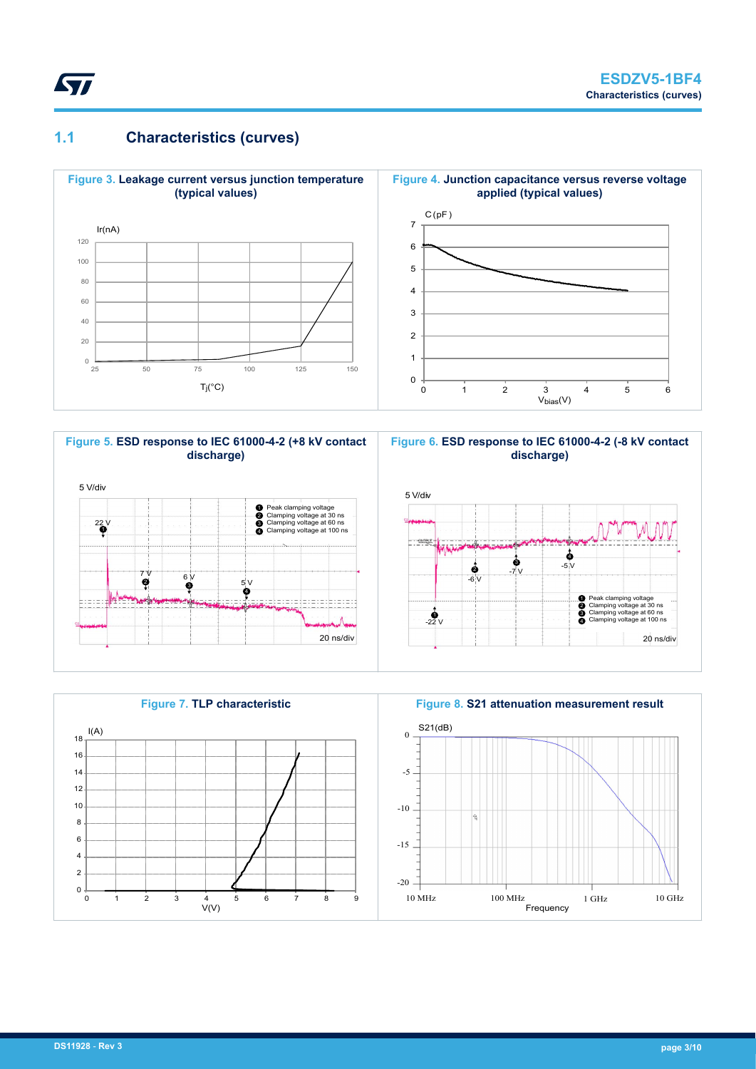

## **1.1 Characteristics (curves)**









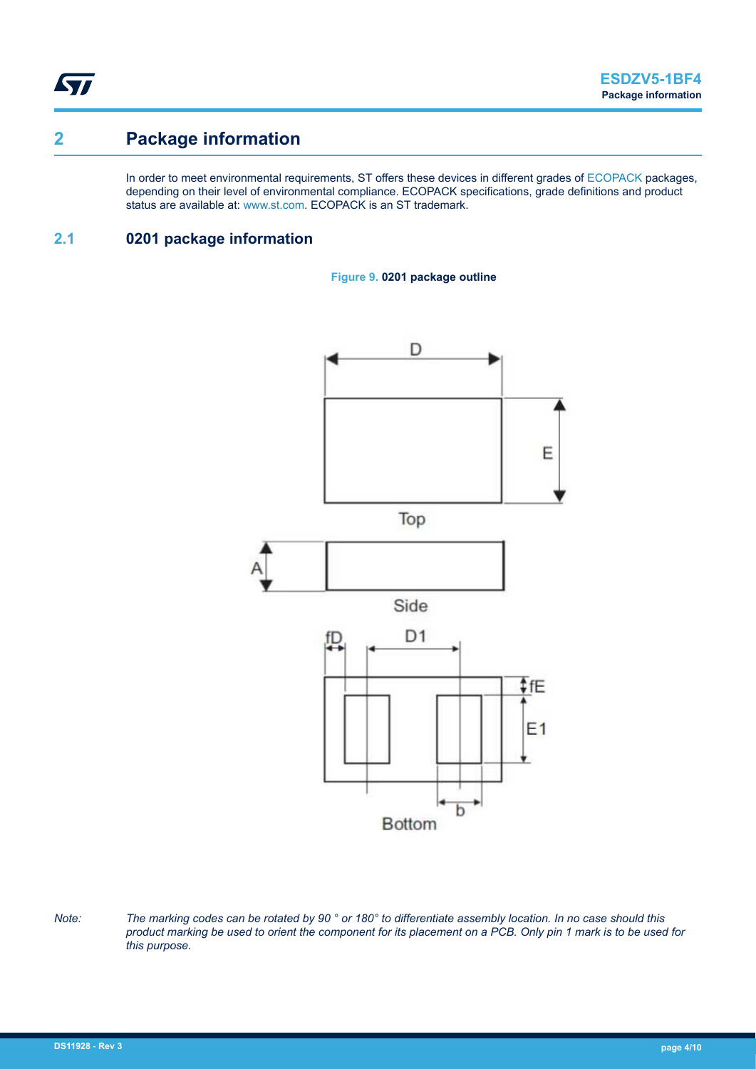ST

## **2 Package information**

In order to meet environmental requirements, ST offers these devices in different grades of [ECOPACK](https://www.st.com/ecopack) packages, depending on their level of environmental compliance. ECOPACK specifications, grade definitions and product status are available at: [www.st.com.](http://www.st.com) ECOPACK is an ST trademark.

### **2.1 0201 package information**





*Note: The marking codes can be rotated by 90 ° or 180° to differentiate assembly location. In no case should this product marking be used to orient the component for its placement on a PCB. Only pin 1 mark is to be used for this purpose.*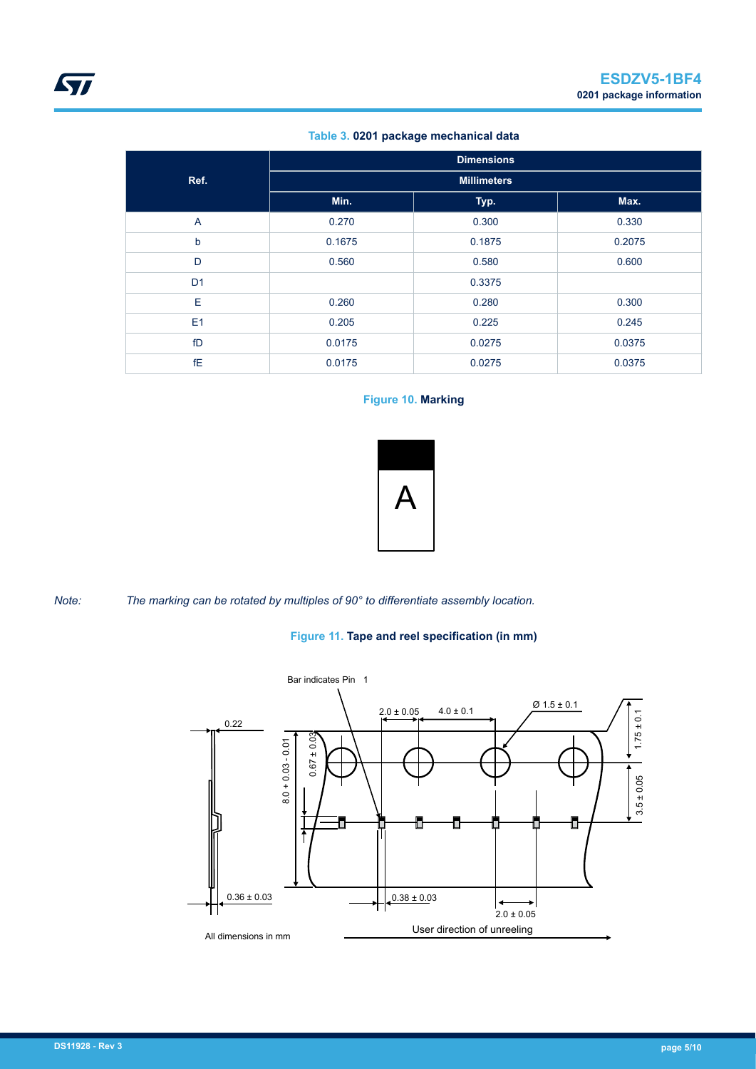#### **Table 3. 0201 package mechanical data**

<span id="page-4-0"></span>

|                | <b>Dimensions</b> |                    |        |  |
|----------------|-------------------|--------------------|--------|--|
| Ref.           |                   | <b>Millimeters</b> |        |  |
|                | Min.              | Typ.               | Max.   |  |
| $\overline{A}$ | 0.270             | 0.300              | 0.330  |  |
| $\mathsf{b}$   | 0.1675            | 0.1875             | 0.2075 |  |
| D              | 0.560             | 0.580              | 0.600  |  |
| D <sub>1</sub> |                   | 0.3375             |        |  |
| E              | 0.260             | 0.280              | 0.300  |  |
| E1             | 0.205             | 0.225              | 0.245  |  |
| fD             | 0.0175            | 0.0275             | 0.0375 |  |
| fE             | 0.0175            | 0.0275             | 0.0375 |  |

#### **Figure 10. Marking**



*Note: The marking can be rotated by multiples of 90° to differentiate assembly location.*

#### **Figure 11. Tape and reel specification (in mm)**

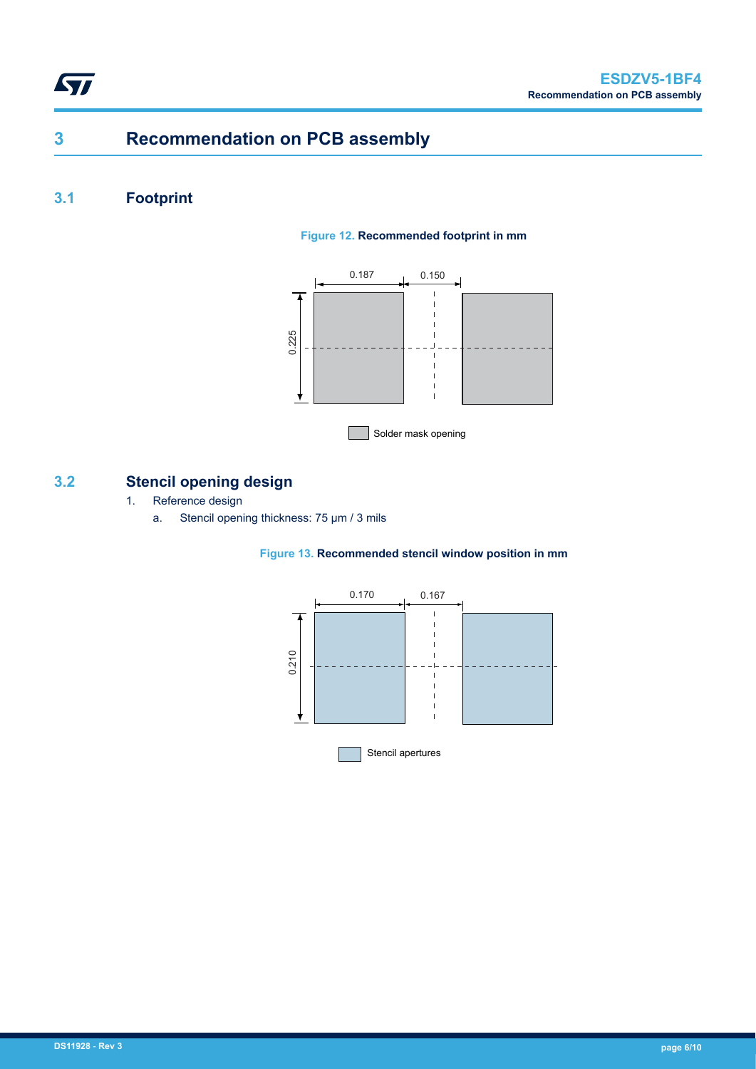## **3 Recommendation on PCB assembly**

## **3.1 Footprint**

#### **Figure 12. Recommended footprint in mm**



### **3.2 Stencil opening design**

- 1. Reference design
	- a. Stencil opening thickness: 75 μm / 3 mils

#### **Figure 13. Recommended stencil window position in mm**

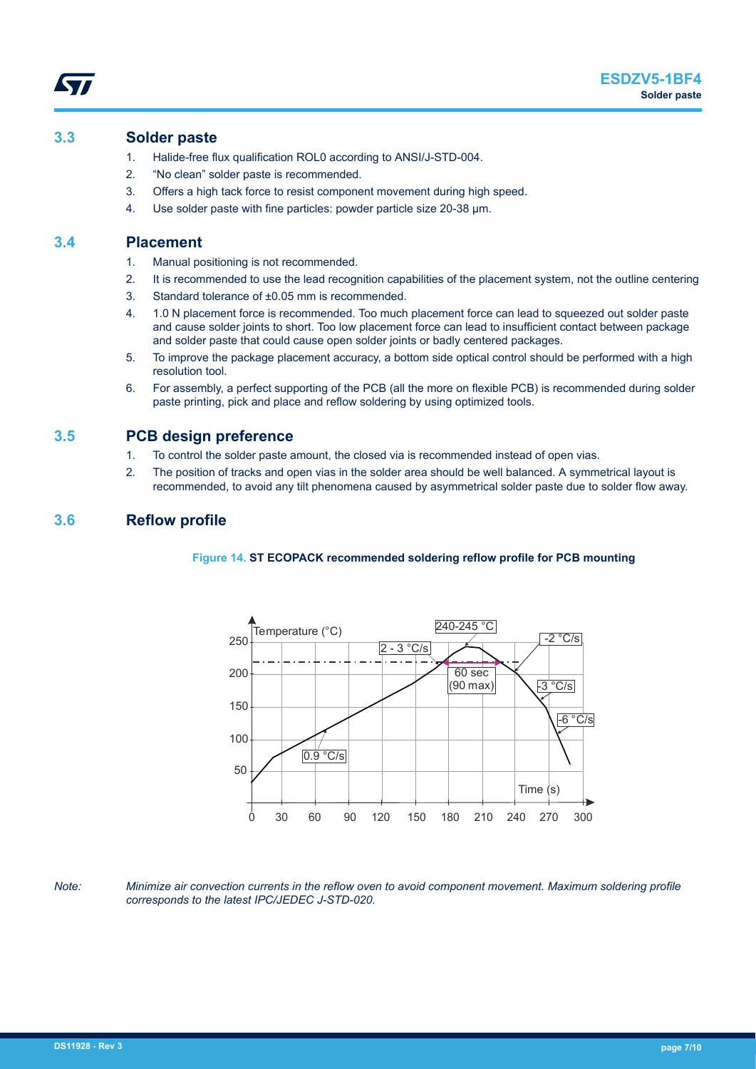#### **3.3 Solder paste**

- 1. Halide-free flux qualification ROL0 according to ANSI/J-STD-004.
- 2. "No clean" solder paste is recommended.
- 3. Offers a high tack force to resist component movement during high speed.
- 4. Use solder paste with fine particles: powder particle size 20-38 µm.

#### **3.4 Placement**

- 1. Manual positioning is not recommended.
- 2. It is recommended to use the lead recognition capabilities of the placement system, not the outline centering
- 3. Standard tolerance of ±0.05 mm is recommended.
- 4. 1.0 N placement force is recommended. Too much placement force can lead to squeezed out solder paste and cause solder joints to short. Too low placement force can lead to insufficient contact between package and solder paste that could cause open solder joints or badly centered packages.
- 5. To improve the package placement accuracy, a bottom side optical control should be performed with a high resolution tool.
- 6. For assembly, a perfect supporting of the PCB (all the more on flexible PCB) is recommended during solder paste printing, pick and place and reflow soldering by using optimized tools.

#### **3.5 PCB design preference**

- 1. To control the solder paste amount, the closed via is recommended instead of open vias.
- 2. The position of tracks and open vias in the solder area should be well balanced. A symmetrical layout is recommended, to avoid any tilt phenomena caused by asymmetrical solder paste due to solder flow away.

#### **3.6 Reflow profile**

#### **Figure 14. ST ECOPACK recommended soldering reflow profile for PCB mounting**



*Note: Minimize air convection currents in the reflow oven to avoid component movement. Maximum soldering profile corresponds to the latest IPC/JEDEC J-STD-020.*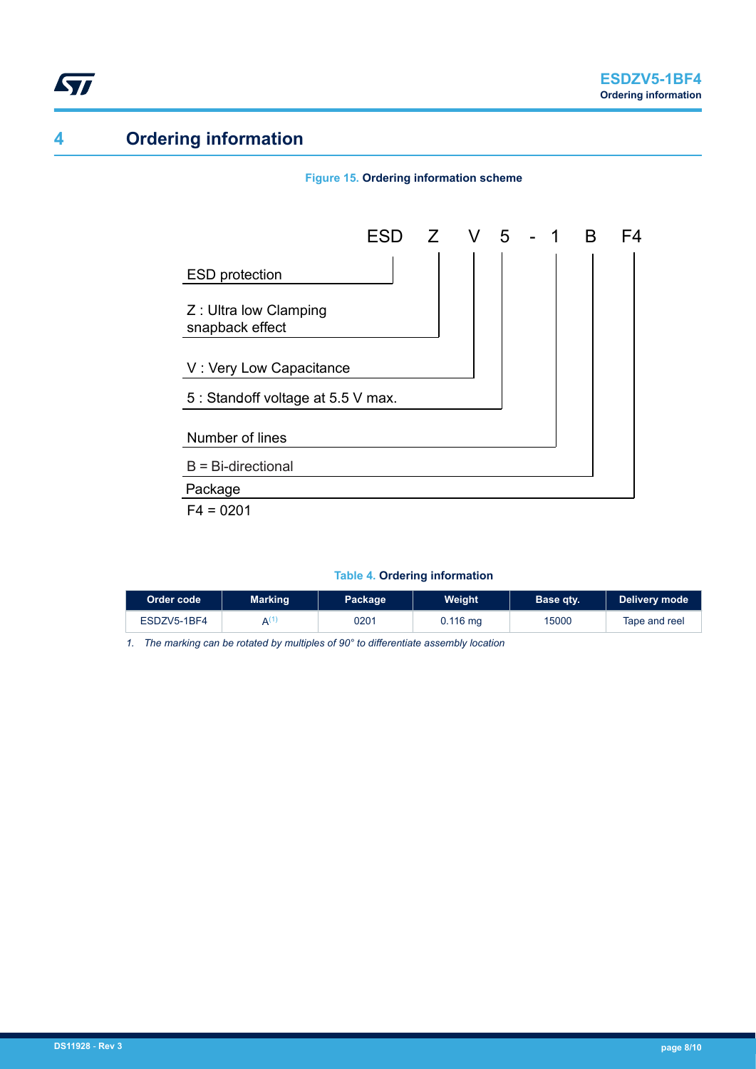

## **4 Ordering information**

# Z : Ultra low Clamping snapback effect ESD protection V : Very Low Capacitance Package  $F4 = 0201$ Number of lines 5 : Standoff voltage at 5.5 V max. B = Bi-directional ESD Z V 5 - 1 B F4

**Figure 15. Ordering information scheme**

#### **Table 4. Ordering information**

| Order code  | <b>Marking</b>        | Package | Weight     | Base qty. | Delivery mode |
|-------------|-----------------------|---------|------------|-----------|---------------|
| ESDZV5-1BF4 | $\mathbf{A}^{\prime}$ | 0201    | $0.116$ mg | 15000     | Tape and reel |

*1. The marking can be rotated by multiples of 90° to differentiate assembly location*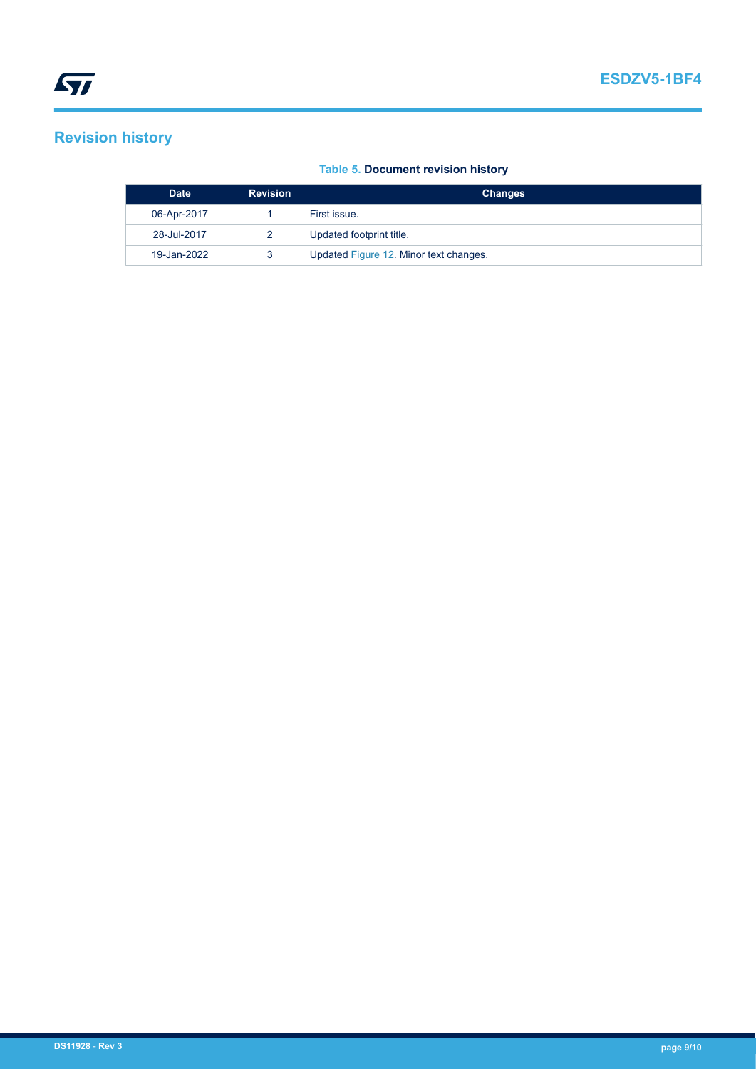## **Revision history**

#### **Table 5. Document revision history**

| <b>Date</b> | <b>Revision</b> | <b>Changes</b>                         |
|-------------|-----------------|----------------------------------------|
| 06-Apr-2017 |                 | First issue.                           |
| 28-Jul-2017 |                 | Updated footprint title.               |
| 19-Jan-2022 |                 | Updated Figure 12. Minor text changes. |